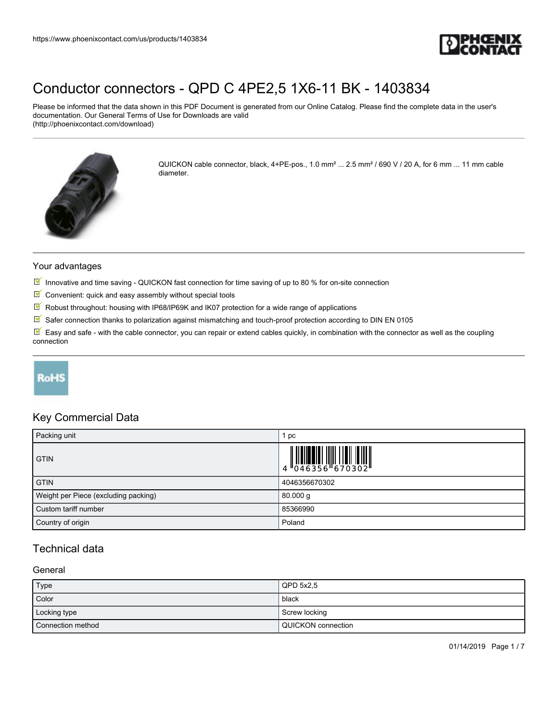

Please be informed that the data shown in this PDF Document is generated from our Online Catalog. Please find the complete data in the user's documentation. Our General Terms of Use for Downloads are valid (http://phoenixcontact.com/download)



QUICKON cable connector, black, 4+PE-pos., 1.0 mm² ... 2.5 mm² / 690 V / 20 A, for 6 mm ... 11 mm cable diameter.

#### Your advantages

- Innovative and time saving QUICKON fast connection for time saving of up to 80 % for on-site connection
- $\blacksquare$  Convenient: quick and easy assembly without special tools
- $\sqrt{}$ Robust throughout: housing with IP68/IP69K and IK07 protection for a wide range of applications
- $\boxed{\blacksquare}$  Safer connection thanks to polarization against mismatching and touch-proof protection according to DIN EN 0105

 $\mathbb F$  Easy and safe - with the cable connector, you can repair or extend cables quickly, in combination with the connector as well as the coupling connection

## **RoHS**

### Key Commercial Data

| Packing unit                         | pc            |
|--------------------------------------|---------------|
| <b>GTIN</b>                          |               |
| <b>GTIN</b>                          | 4046356670302 |
| Weight per Piece (excluding packing) | $80.000$ g    |
| Custom tariff number                 | 85366990      |
| Country of origin                    | Poland        |

## Technical data

#### **General**

| Type              | QPD 5x2.5            |
|-------------------|----------------------|
| Color             | black                |
| Locking type      | Screw locking        |
| Connection method | l QUICKON connection |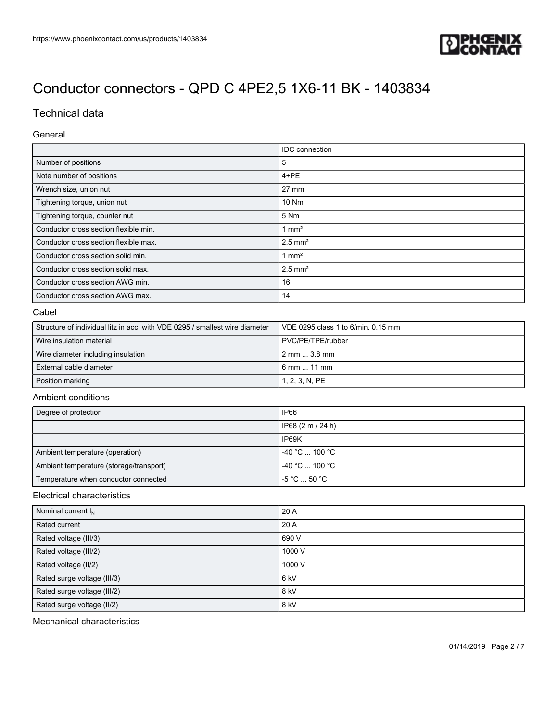

## Technical data

#### General

|                                       | <b>IDC</b> connection |
|---------------------------------------|-----------------------|
| Number of positions                   | 5                     |
| Note number of positions              | $4 + PE$              |
| Wrench size, union nut                | 27 mm                 |
| Tightening torque, union nut          | 10 Nm                 |
| Tightening torque, counter nut        | 5 Nm                  |
| Conductor cross section flexible min. | $1 \text{ mm}^2$      |
| Conductor cross section flexible max. | $2.5$ mm <sup>2</sup> |
| Conductor cross section solid min.    | $1 \text{ mm}^2$      |
| Conductor cross section solid max.    | $2.5$ mm <sup>2</sup> |
| Conductor cross section AWG min.      | 16                    |
| Conductor cross section AWG max.      | 14                    |

#### Cabel

| Structure of individual litz in acc. with VDE 0295 / smallest wire diameter | l VDE 0295 class 1 to 6/min. 0.15 mm |
|-----------------------------------------------------------------------------|--------------------------------------|
| Wire insulation material                                                    | PVC/PE/TPE/rubber                    |
| Wire diameter including insulation                                          | 2 mm  3.8 mm                         |
| External cable diameter                                                     | $6 \, \text{mm}$ 11 mm               |
| Position marking                                                            | 1, 2, 3, N, PE                       |

### Ambient conditions

| Degree of protection                    | IP66                              |
|-----------------------------------------|-----------------------------------|
|                                         | IP68 (2 m / 24 h)                 |
|                                         | IP69K                             |
| Ambient temperature (operation)         | $-40 °C$ 100 °C                   |
| Ambient temperature (storage/transport) | $-40 °C$ 100 °C                   |
| Temperature when conductor connected    | $-5^{\circ}$ C $$ 50 $^{\circ}$ C |

#### Electrical characteristics

| Nominal current $I_N$       | 20 A   |
|-----------------------------|--------|
| Rated current               | 20 A   |
| Rated voltage (III/3)       | 690 V  |
| Rated voltage (III/2)       | 1000 V |
| Rated voltage (II/2)        | 1000 V |
| Rated surge voltage (III/3) | 6 kV   |
| Rated surge voltage (III/2) | $8$ kV |
| Rated surge voltage (II/2)  | $8$ kV |

Mechanical characteristics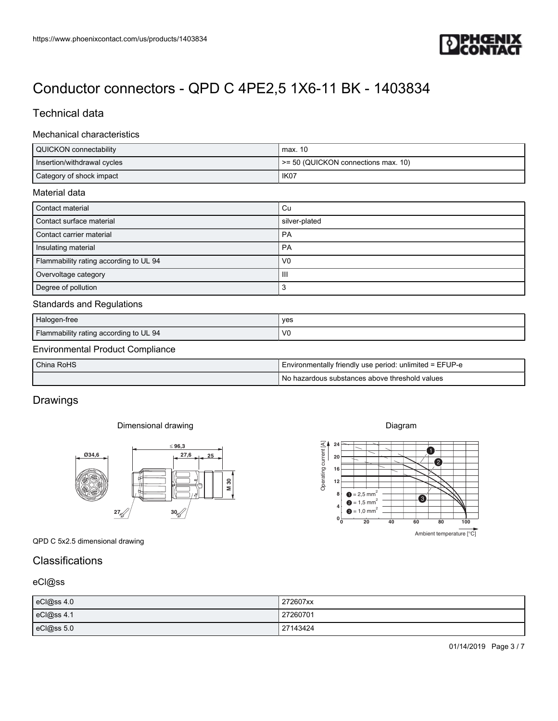

## Technical data

#### Mechanical characteristics

| https://www.phoenixcontact.com/us/products/1403834      | PHŒ<br>۰                                                                                                                                                                                                                  |
|---------------------------------------------------------|---------------------------------------------------------------------------------------------------------------------------------------------------------------------------------------------------------------------------|
|                                                         | www.                                                                                                                                                                                                                      |
| Conductor connectors - QPD C 4PE2,5 1X6-11 BK - 1403834 |                                                                                                                                                                                                                           |
| <b>Technical data</b>                                   |                                                                                                                                                                                                                           |
|                                                         |                                                                                                                                                                                                                           |
| Mechanical characteristics                              |                                                                                                                                                                                                                           |
| QUICKON connectability                                  | max. 10                                                                                                                                                                                                                   |
| Insertion/withdrawal cycles<br>Category of shock impact | >= 50 (QUICKON connections max. 10)<br>IK07                                                                                                                                                                               |
|                                                         |                                                                                                                                                                                                                           |
| Material data                                           |                                                                                                                                                                                                                           |
| Contact material<br>Contact surface material            | Cu<br>silver-plated                                                                                                                                                                                                       |
| Contact carrier material                                | PA                                                                                                                                                                                                                        |
| Insulating material                                     | PA                                                                                                                                                                                                                        |
| Flammability rating according to UL 94                  | V <sub>0</sub>                                                                                                                                                                                                            |
| Overvoltage category                                    | $\ensuremath{\mathsf{III}}\xspace$                                                                                                                                                                                        |
| Degree of pollution                                     | $\mathbf{3}$                                                                                                                                                                                                              |
| <b>Standards and Regulations</b>                        |                                                                                                                                                                                                                           |
| Halogen-free                                            | yes                                                                                                                                                                                                                       |
|                                                         | ${\sf V0}$                                                                                                                                                                                                                |
| Flammability rating according to UL 94                  |                                                                                                                                                                                                                           |
| <b>Environmental Product Compliance</b>                 |                                                                                                                                                                                                                           |
| China RoHS                                              | Environmentally friendly use period: unlimited = EFUP-e                                                                                                                                                                   |
|                                                         | No hazardous substances above threshold values                                                                                                                                                                            |
| Drawings                                                |                                                                                                                                                                                                                           |
|                                                         |                                                                                                                                                                                                                           |
| Dimensional drawing                                     | Diagram                                                                                                                                                                                                                   |
| $\leq 96,3$                                             | ❶                                                                                                                                                                                                                         |
| $\frac{27,6}{ } = 25$<br>$\frac{\emptyset34,6}{}$       | Ł                                                                                                                                                                                                                         |
|                                                         |                                                                                                                                                                                                                           |
| M 30                                                    | $\begin{bmatrix} 4 \\ 1 \end{bmatrix}$<br>$\begin{bmatrix} 2 \\ 1 \end{bmatrix}$<br>$\begin{bmatrix} 1 \\ 2 \end{bmatrix}$<br>$\begin{bmatrix} 1 \\ 2 \end{bmatrix}$<br>$\bullet$ = 2,5 mm <sup>2</sup><br>8 <sup>1</sup> |
|                                                         | $\bullet$<br>$\bullet$ = 1,5 mm <sup>2</sup><br>$\bullet$ = 1,0 mm <sup>2</sup>                                                                                                                                           |
| 27/2<br>30/2                                            | $0^{\mathsf{L}}_0$<br>20<br>40<br>60<br>100<br>80                                                                                                                                                                         |
| QPD C 5x2.5 dimensional drawing                         | Ambient temperature [°C]                                                                                                                                                                                                  |
|                                                         |                                                                                                                                                                                                                           |
| Classifications                                         |                                                                                                                                                                                                                           |
| eCI@ss                                                  |                                                                                                                                                                                                                           |
| eCl@ss 4.0                                              | 272607xx                                                                                                                                                                                                                  |
| eCl@ss 4.1                                              | 27260701                                                                                                                                                                                                                  |
| eCl@ss 5.0                                              | 27143424                                                                                                                                                                                                                  |

#### Standards and Regulations

| Halogen-free                           | ves            |
|----------------------------------------|----------------|
| Flammability rating according to UL 94 | V <sub>0</sub> |

### Environmental Product Compliance

| China RoHS | I Environmentally friendly use period: unlimited = EFUP-e |
|------------|-----------------------------------------------------------|
|            | No hazardous substances above threshold values            |

## **Drawings**

### Dimensional drawing



## **Classifications**

### eCl@ss

| eCl@ss 4.0 | 272607xx |
|------------|----------|
| eCl@ss 4.1 | 27260701 |
| eCl@ss 5.0 | 27143424 |

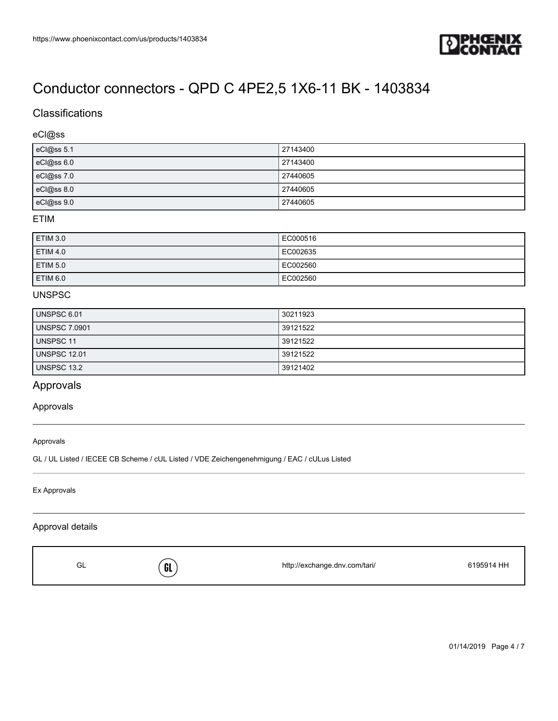

## **Classifications**

### eCl@ss

| eCl@ss 5.1 | 27143400 |
|------------|----------|
| eCl@ss 6.0 | 27143400 |
| eCl@ss 7.0 | 27440605 |
| eCl@ss 8.0 | 27440605 |
| eCl@ss 9.0 | 27440605 |

#### ETIM

| <b>ETIM 3.0</b> | EC000516 |
|-----------------|----------|
| <b>ETIM 4.0</b> | EC002635 |
| <b>ETIM 5.0</b> | EC002560 |
| <b>ETIM 6.0</b> | EC002560 |

#### UNSPSC

| UNSPSC 6.01          | 30211923 |
|----------------------|----------|
| <b>UNSPSC 7.0901</b> | 39121522 |
| UNSPSC 11            | 39121522 |
| <b>UNSPSC 12.01</b>  | 39121522 |
| UNSPSC 13.2          | 39121402 |

## Approvals

#### Approvals

#### Approvals

GL / UL Listed / IECEE CB Scheme / cUL Listed / VDE Zeichengenehmigung / EAC / cULus Listed

Ex Approvals

## Approval details

|  |  | ົ<br>⊍∟ | GL | http://exchange.dnv.com/tari/ | 6195914 HH |
|--|--|---------|----|-------------------------------|------------|
|--|--|---------|----|-------------------------------|------------|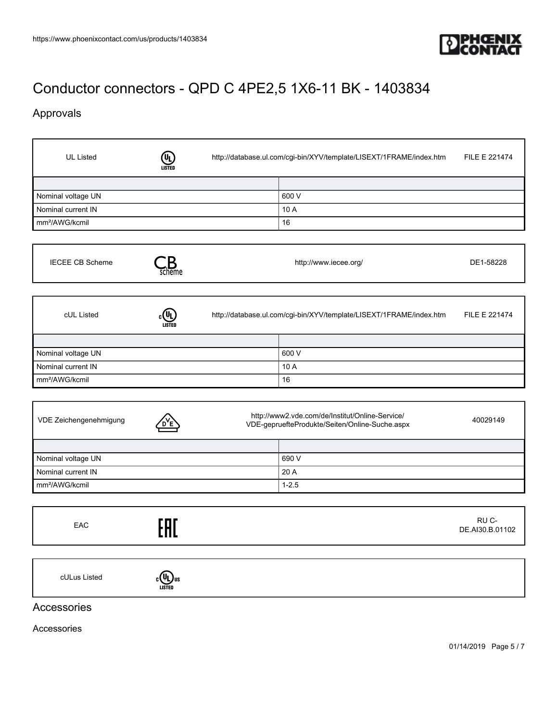

## Approvals

 $\Gamma$ 

| <b>UL Listed</b>           | LISTED                                                                                                        | http://database.ul.com/cgi-bin/XYV/template/LISEXT/1FRAME/index.htm | FILE E 221474            |
|----------------------------|---------------------------------------------------------------------------------------------------------------|---------------------------------------------------------------------|--------------------------|
|                            |                                                                                                               |                                                                     |                          |
| Nominal voltage UN         |                                                                                                               | 600 V                                                               |                          |
| Nominal current IN         |                                                                                                               | 10 A                                                                |                          |
| mm <sup>2</sup> /AWG/kcmil |                                                                                                               | 16                                                                  |                          |
| <b>IECEE CB Scheme</b>     | scheme                                                                                                        | http://www.iecee.org/                                               | DE1-58228                |
| cUL Listed                 | LISTED                                                                                                        | http://database.ul.com/cgi-bin/XYV/template/LISEXT/1FRAME/index.htm | FILE E 221474            |
|                            |                                                                                                               |                                                                     |                          |
| Nominal voltage UN         |                                                                                                               | 600 V                                                               |                          |
| Nominal current IN         |                                                                                                               | 10 A                                                                |                          |
| mm <sup>2</sup> /AWG/kcmil |                                                                                                               | 16                                                                  |                          |
| VDE Zeichengenehmigung     | http://www2.vde.com/de/Institut/Online-Service/<br>40029149<br>VDE-gepruefteProdukte/Seiten/Online-Suche.aspx |                                                                     |                          |
|                            |                                                                                                               |                                                                     |                          |
| Nominal voltage UN         |                                                                                                               | 690 V                                                               |                          |
| Nominal current IN         |                                                                                                               | 20 A                                                                |                          |
| mm <sup>2</sup> /AWG/kcmil |                                                                                                               | $1 - 2.5$                                                           |                          |
| EAC                        |                                                                                                               |                                                                     | RU C-<br>DE.AI30.B.01102 |
| cULus Listed               | $_{c}$ (U <sub>U</sub> ) <sub>us</sub>                                                                        |                                                                     |                          |
| Accessories                |                                                                                                               |                                                                     |                          |

Accessories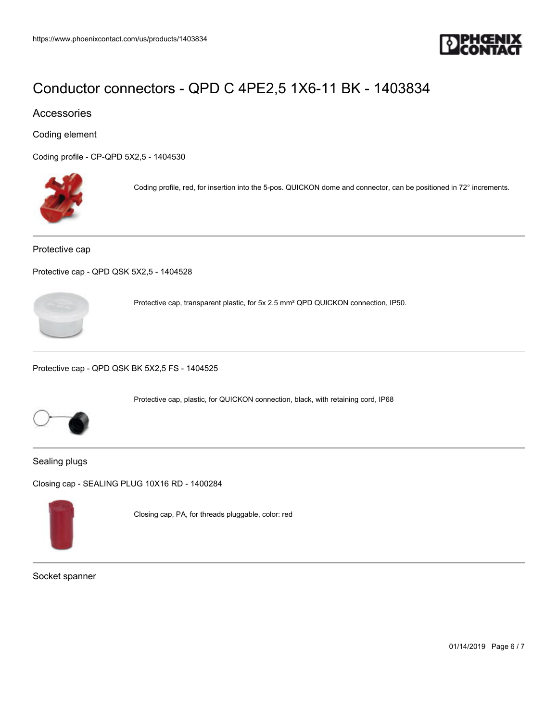

## Accessories

Coding element

[Coding profile - CP-QPD 5X2,5 - 1404530](https://www.phoenixcontact.com/us/products/1404530)



Coding profile, red, for insertion into the 5-pos. QUICKON dome and connector, can be positioned in 72° increments.

#### Protective cap

[Protective cap - QPD QSK 5X2,5 - 1404528](https://www.phoenixcontact.com/us/products/1404528)



Protective cap, transparent plastic, for 5x 2.5 mm² QPD QUICKON connection, IP50.

Protective cap, plastic, for QUICKON connection, black, with retaining cord, IP68

[Protective cap - QPD QSK BK 5X2,5 FS - 1404525](https://www.phoenixcontact.com/us/products/1404525)



Sealing plugs

[Closing cap - SEALING PLUG 10X16 RD - 1400284](https://www.phoenixcontact.com/us/products/1400284)



Closing cap, PA, for threads pluggable, color: red

Socket spanner